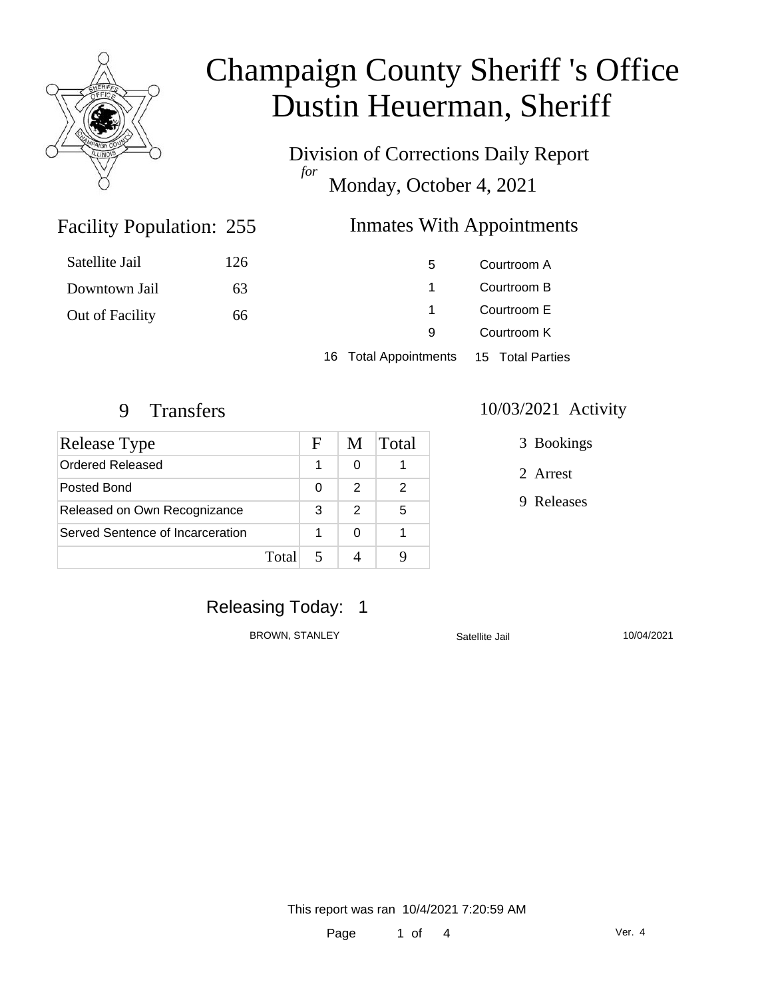

Division of Corrections Daily Report *for* Monday, October 4, 2021

### Facility Population: 255

### Inmates With Appointments

| Satellite Jail  | 126 | 5.                                     | Courtroom A                |  |
|-----------------|-----|----------------------------------------|----------------------------|--|
| Downtown Jail   | 63  |                                        | Courtroom B                |  |
| Out of Facility | 66  | $\mathbf{1}$                           | Courtroom E<br>Courtroom K |  |
|                 |     | 9                                      |                            |  |
|                 |     | 16 Total Appointments 15 Total Parties |                            |  |

| Release Type                     |       | F | M             | <b>Total</b> |
|----------------------------------|-------|---|---------------|--------------|
| Ordered Released                 |       |   | O             |              |
| Posted Bond                      |       | 0 | $\mathcal{P}$ |              |
| Released on Own Recognizance     |       | 3 | 2             | 5            |
| Served Sentence of Incarceration |       |   | O             |              |
|                                  | Total |   |               |              |

#### 9 Transfers 10/03/2021 Activity

3 Bookings

2 Arrest

9 Releases

# Releasing Today: 1

BROWN, STANLEY Satellite Jail 30/04/2021

This report was ran 10/4/2021 7:20:59 AM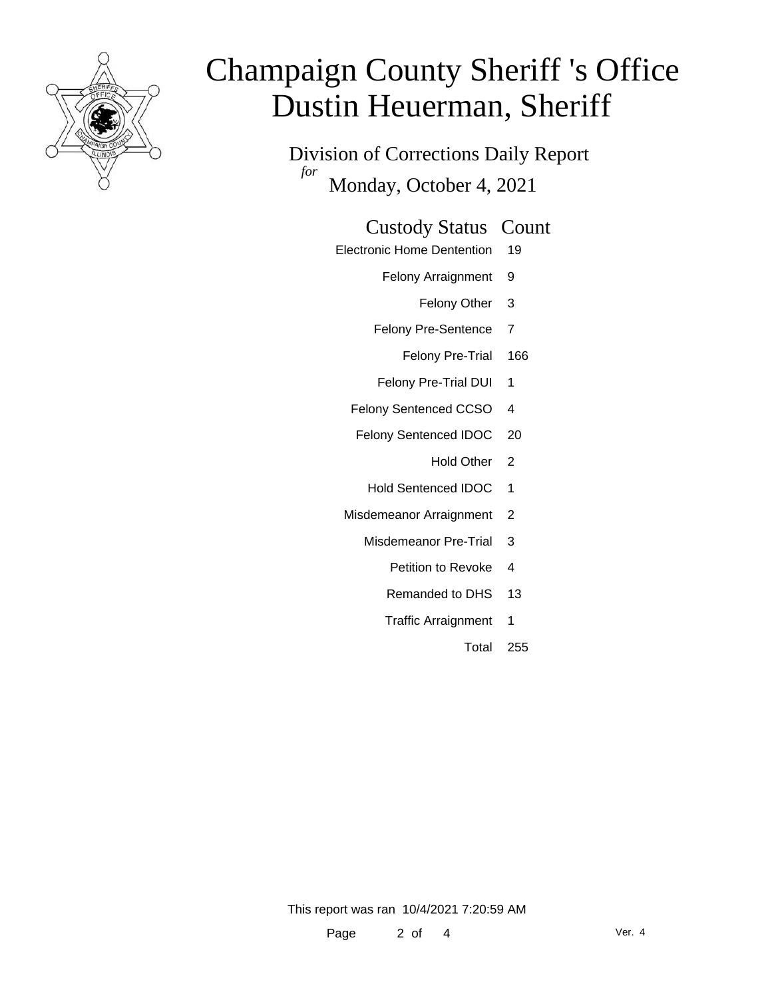

Division of Corrections Daily Report *for* Monday, October 4, 2021

#### Custody Status Count

- Electronic Home Dentention 19
	- Felony Arraignment 9
		- Felony Other 3
	- Felony Pre-Sentence 7
		- Felony Pre-Trial 166
	- Felony Pre-Trial DUI 1
	- Felony Sentenced CCSO 4
	- Felony Sentenced IDOC 20
		- Hold Other 2
		- Hold Sentenced IDOC 1
	- Misdemeanor Arraignment 2
		- Misdemeanor Pre-Trial 3
			- Petition to Revoke 4
			- Remanded to DHS 13
			- Traffic Arraignment 1
				- Total 255

This report was ran 10/4/2021 7:20:59 AM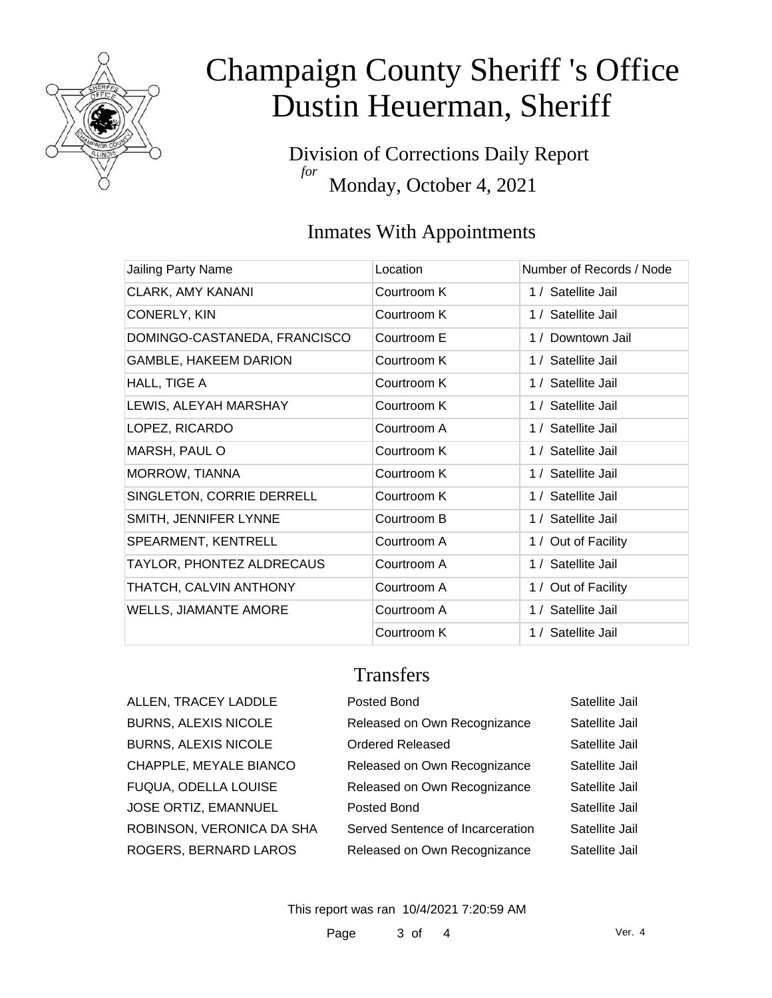

Division of Corrections Daily Report *for* Monday, October 4, 2021

# Inmates With Appointments

| Jailing Party Name           | Location    | Number of Records / Node |
|------------------------------|-------------|--------------------------|
| <b>CLARK, AMY KANANI</b>     | Courtroom K | 1 / Satellite Jail       |
| CONERLY, KIN                 | Courtroom K | 1 / Satellite Jail       |
| DOMINGO-CASTANEDA, FRANCISCO | Courtroom E | 1 / Downtown Jail        |
| <b>GAMBLE, HAKEEM DARION</b> | Courtroom K | 1 / Satellite Jail       |
| HALL, TIGE A                 | Courtroom K | 1 / Satellite Jail       |
| LEWIS, ALEYAH MARSHAY        | Courtroom K | 1 / Satellite Jail       |
| LOPEZ, RICARDO               | Courtroom A | 1 / Satellite Jail       |
| MARSH, PAUL O                | Courtroom K | 1 / Satellite Jail       |
| MORROW, TIANNA               | Courtroom K | 1 / Satellite Jail       |
| SINGLETON, CORRIE DERRELL    | Courtroom K | 1 / Satellite Jail       |
| SMITH, JENNIFER LYNNE        | Courtroom B | 1 / Satellite Jail       |
| SPEARMENT, KENTRELL          | Courtroom A | 1 / Out of Facility      |
| TAYLOR, PHONTEZ ALDRECAUS    | Courtroom A | 1 / Satellite Jail       |
| THATCH, CALVIN ANTHONY       | Courtroom A | 1 / Out of Facility      |
| <b>WELLS, JIAMANTE AMORE</b> | Courtroom A | 1 / Satellite Jail       |
|                              | Courtroom K | 1 / Satellite Jail       |

#### **Transfers**

| ALLEN, TRACEY LADDLE        |  |
|-----------------------------|--|
| <b>BURNS, ALEXIS NICOLE</b> |  |
| <b>BURNS, ALEXIS NICOLE</b> |  |
| CHAPPLE, MEYALE BIANCO      |  |
| FUQUA, ODELLA LOUISE        |  |
| <b>JOSE ORTIZ, EMANNUEL</b> |  |
| ROBINSON, VERONICA DA SHA   |  |
| ROGERS, BERNARD LAROS       |  |

| ALLEN, TRACEY LADDLE        | Posted Bond                      | Satellite Jail |
|-----------------------------|----------------------------------|----------------|
| <b>BURNS, ALEXIS NICOLE</b> | Released on Own Recognizance     | Satellite Jail |
| <b>BURNS, ALEXIS NICOLE</b> | <b>Ordered Released</b>          | Satellite Jail |
| CHAPPLE, MEYALE BIANCO      | Released on Own Recognizance     | Satellite Jail |
| FUQUA, ODELLA LOUISE        | Released on Own Recognizance     | Satellite Jail |
| JOSE ORTIZ, EMANNUEL        | Posted Bond                      | Satellite Jail |
| ROBINSON, VERONICA DA SHA   | Served Sentence of Incarceration | Satellite Jail |
| ROGERS, BERNARD LAROS       | Released on Own Recognizance     | Satellite Jail |

This report was ran 10/4/2021 7:20:59 AM